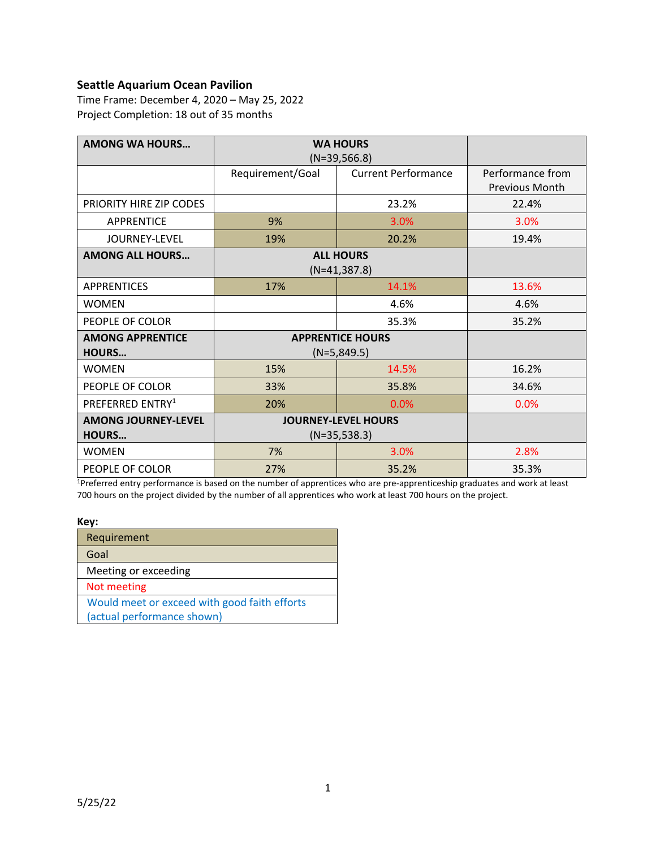### **Seattle Aquarium Ocean Pavilion**

Time Frame: December 4, 2020 – May 25, 2022 Project Completion: 18 out of 35 months

| <b>AMONG WA HOURS</b>        | <b>WA HOURS</b>            |                            |                  |
|------------------------------|----------------------------|----------------------------|------------------|
|                              | $(N=39,566.8)$             |                            |                  |
|                              | Requirement/Goal           | <b>Current Performance</b> | Performance from |
|                              |                            |                            | Previous Month   |
| PRIORITY HIRE ZIP CODES      |                            | 23.2%                      | 22.4%            |
| <b>APPRENTICE</b>            | 9%                         | 3.0%                       | 3.0%             |
| JOURNEY-LEVEL                | 19%                        | 20.2%                      | 19.4%            |
| <b>AMONG ALL HOURS</b>       |                            | <b>ALL HOURS</b>           |                  |
|                              |                            | $(N=41, 387.8)$            |                  |
| <b>APPRENTICES</b>           | 17%                        | 14.1%                      | 13.6%            |
| WOMEN                        | 4.6%                       |                            | 4.6%             |
| PEOPLE OF COLOR              |                            | 35.3%                      | 35.2%            |
| <b>AMONG APPRENTICE</b>      |                            | <b>APPRENTICE HOURS</b>    |                  |
| <b>HOURS</b>                 | $(N=5,849.5)$              |                            |                  |
| <b>WOMEN</b>                 | 15%                        | 14.5%                      | 16.2%            |
| PEOPLE OF COLOR              | 33%                        | 35.8%                      | 34.6%            |
| PREFERRED ENTRY <sup>1</sup> | 20%<br>0.0%                |                            | 0.0%             |
| <b>AMONG JOURNEY-LEVEL</b>   | <b>JOURNEY-LEVEL HOURS</b> |                            |                  |
| <b>HOURS</b>                 | $(N=35,538.3)$             |                            |                  |
| <b>WOMEN</b>                 | 7%                         | 3.0%                       | 2.8%             |
| PEOPLE OF COLOR              | 27%                        | 35.2%                      | 35.3%            |

<sup>1</sup>Preferred entry performance is based on the number of apprentices who are pre-apprenticeship graduates and work at least 700 hours on the project divided by the number of all apprentices who work at least 700 hours on the project.

#### **Key:**

| Requirement                                  |
|----------------------------------------------|
| Goal                                         |
| Meeting or exceeding                         |
| Not meeting                                  |
| Would meet or exceed with good faith efforts |
| (actual performance shown)                   |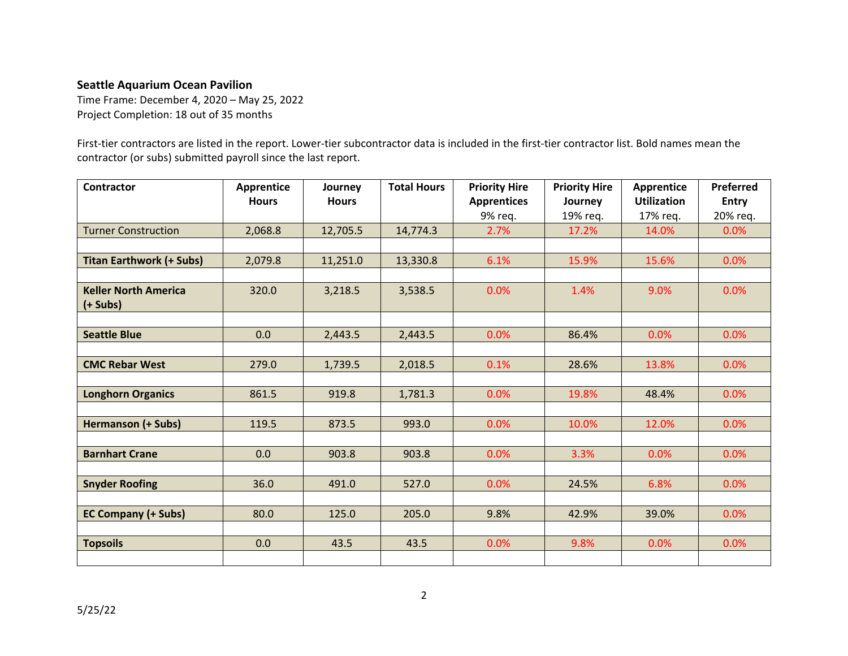### **Seattle Aquarium Ocean Pavilion**

Time Frame: December 4, 2020 – May 25, 2022 Project Completion: 18 out of 35 months

First-tier contractors are listed in the report. Lower-tier subcontractor data is included in the first-tier contractor list. Bold names mean the contractor (or subs) submitted payroll since the last report.

| <b>Contractor</b>               | Apprentice   | Journey      | <b>Total Hours</b> | <b>Priority Hire</b> | <b>Priority Hire</b> | Apprentice         | Preferred    |
|---------------------------------|--------------|--------------|--------------------|----------------------|----------------------|--------------------|--------------|
|                                 | <b>Hours</b> | <b>Hours</b> |                    | <b>Apprentices</b>   | Journey              | <b>Utilization</b> | <b>Entry</b> |
|                                 |              |              |                    | 9% req.              | 19% req.             | 17% reg.           | 20% req.     |
| <b>Turner Construction</b>      | 2,068.8      | 12,705.5     | 14,774.3           | 2.7%                 | 17.2%                | 14.0%              | 0.0%         |
|                                 |              |              |                    |                      |                      |                    |              |
| <b>Titan Earthwork (+ Subs)</b> | 2,079.8      | 11,251.0     | 13,330.8           | 6.1%                 | 15.9%                | 15.6%              | 0.0%         |
|                                 |              |              |                    |                      |                      |                    |              |
| <b>Keller North America</b>     | 320.0        | 3,218.5      | 3,538.5            | 0.0%                 | 1.4%                 | 9.0%               | 0.0%         |
| $(+$ Subs $)$                   |              |              |                    |                      |                      |                    |              |
|                                 |              |              |                    |                      |                      |                    |              |
| <b>Seattle Blue</b>             | 0.0          | 2,443.5      | 2,443.5            | 0.0%                 | 86.4%                | 0.0%               | 0.0%         |
|                                 |              |              |                    |                      |                      |                    |              |
| <b>CMC Rebar West</b>           | 279.0        | 1,739.5      | 2,018.5            | 0.1%                 | 28.6%                | 13.8%              | 0.0%         |
|                                 |              |              |                    |                      |                      |                    |              |
| <b>Longhorn Organics</b>        | 861.5        | 919.8        | 1,781.3            | 0.0%                 | 19.8%                | 48.4%              | 0.0%         |
|                                 |              |              |                    |                      |                      |                    |              |
| <b>Hermanson (+ Subs)</b>       | 119.5        | 873.5        | 993.0              | 0.0%                 | 10.0%                | 12.0%              | 0.0%         |
|                                 |              |              |                    |                      |                      |                    |              |
| <b>Barnhart Crane</b>           | 0.0          | 903.8        | 903.8              | 0.0%                 | 3.3%                 | 0.0%               | 0.0%         |
|                                 |              |              |                    |                      |                      |                    |              |
| <b>Snyder Roofing</b>           | 36.0         | 491.0        | 527.0              | 0.0%                 | 24.5%                | 6.8%               | 0.0%         |
|                                 |              |              |                    |                      |                      |                    |              |
| <b>EC Company (+ Subs)</b>      | 80.0         | 125.0        | 205.0              | 9.8%                 | 42.9%                | 39.0%              | 0.0%         |
|                                 |              |              |                    |                      |                      |                    |              |
| <b>Topsoils</b>                 | 0.0          | 43.5         | 43.5               | 0.0%                 | 9.8%                 | 0.0%               | 0.0%         |
|                                 |              |              |                    |                      |                      |                    |              |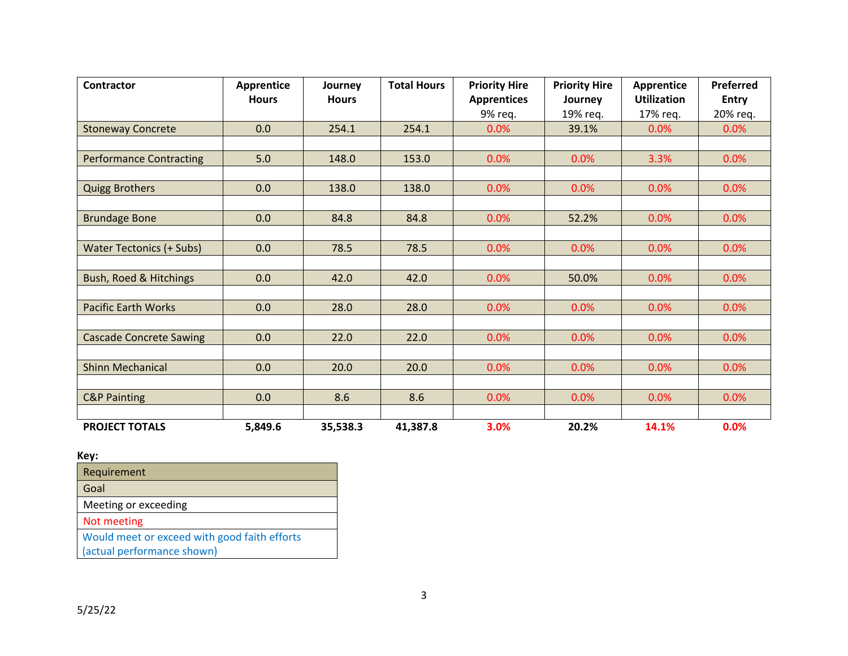| <b>Contractor</b>               | <b>Apprentice</b> | Journey      | <b>Total Hours</b> | <b>Priority Hire</b> | <b>Priority Hire</b> | <b>Apprentice</b>  | Preferred    |
|---------------------------------|-------------------|--------------|--------------------|----------------------|----------------------|--------------------|--------------|
|                                 | <b>Hours</b>      | <b>Hours</b> |                    | <b>Apprentices</b>   | Journey              | <b>Utilization</b> | <b>Entry</b> |
|                                 |                   |              |                    | 9% req.              | 19% req.             | 17% req.           | 20% req.     |
| <b>Stoneway Concrete</b>        | 0.0               | 254.1        | 254.1              | 0.0%                 | 39.1%                | 0.0%               | 0.0%         |
|                                 |                   |              |                    |                      |                      |                    |              |
| <b>Performance Contracting</b>  | 5.0               | 148.0        | 153.0              | 0.0%                 | 0.0%                 | 3.3%               | 0.0%         |
|                                 |                   |              |                    |                      |                      |                    |              |
| <b>Quigg Brothers</b>           | 0.0               | 138.0        | 138.0              | 0.0%                 | 0.0%                 | 0.0%               | 0.0%         |
|                                 |                   |              |                    |                      |                      |                    |              |
| <b>Brundage Bone</b>            | 0.0               | 84.8         | 84.8               | 0.0%                 | 52.2%                | 0.0%               | 0.0%         |
|                                 |                   |              |                    |                      |                      |                    |              |
| <b>Water Tectonics (+ Subs)</b> | 0.0               | 78.5         | 78.5               | 0.0%                 | 0.0%                 | 0.0%               | 0.0%         |
|                                 |                   |              |                    |                      |                      |                    |              |
| Bush, Roed & Hitchings          | 0.0               | 42.0         | 42.0               | 0.0%                 | 50.0%                | 0.0%               | 0.0%         |
|                                 |                   |              |                    |                      |                      |                    |              |
| <b>Pacific Earth Works</b>      | 0.0               | 28.0         | 28.0               | 0.0%                 | 0.0%                 | 0.0%               | 0.0%         |
|                                 |                   |              |                    |                      |                      |                    |              |
| <b>Cascade Concrete Sawing</b>  | 0.0               | 22.0         | 22.0               | 0.0%                 | 0.0%                 | 0.0%               | 0.0%         |
|                                 |                   |              |                    |                      |                      |                    |              |
| <b>Shinn Mechanical</b>         | 0.0               | 20.0         | 20.0               | 0.0%                 | 0.0%                 | 0.0%               | 0.0%         |
|                                 |                   |              |                    |                      |                      |                    |              |
| <b>C&amp;P Painting</b>         | 0.0               | 8.6          | 8.6                | 0.0%                 | 0.0%                 | 0.0%               | 0.0%         |
|                                 |                   |              |                    |                      |                      |                    |              |
| <b>PROJECT TOTALS</b>           | 5,849.6           | 35,538.3     | 41,387.8           | 3.0%                 | 20.2%                | 14.1%              | 0.0%         |

## **Key:**

| Requirement                                  |
|----------------------------------------------|
| Goal                                         |
| Meeting or exceeding                         |
| Not meeting                                  |
| Would meet or exceed with good faith efforts |
| (actual performance shown)                   |